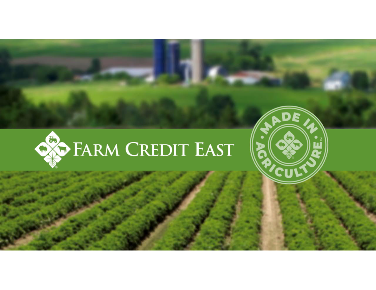

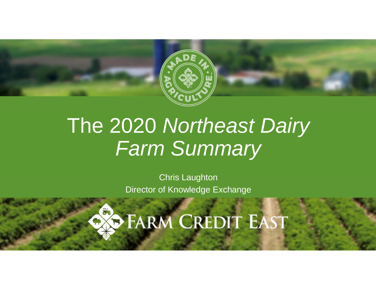

# The 2020 *Northeast Dairy Farm Summary*

Chris Laughton Director of Knowledge Exchange

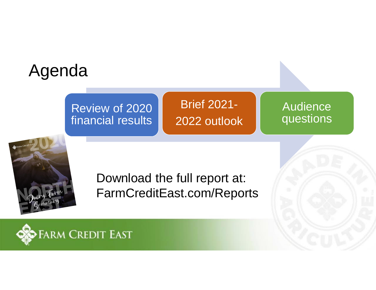## Agenda

#### Review of 2020 financial results

Brief 2021- 2022 outlook

Audience questions



Download the full report at: FarmCreditEast.com/Reports

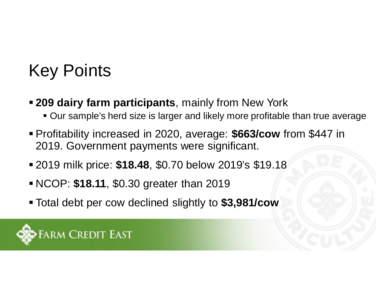## Key Points

- § **209 dairy farm participants**, mainly from New York
	- Our sample's herd size is larger and likely more profitable than true average
- § Profitability increased in 2020, average: **\$663/cow** from \$447 in 2019. Government payments were significant.
- § 2019 milk price: **\$18.48**, \$0.70 below 2019's \$19.18
- § NCOP: **\$18.11**, \$0.30 greater than 2019
- § Total debt per cow declined slightly to **\$3,981/cow**

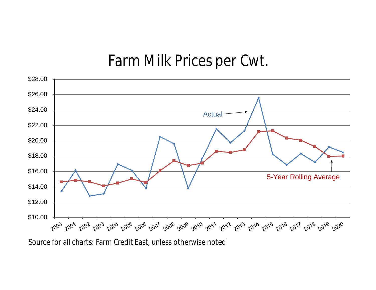### Farm Milk Prices per Cwt.



Source for all charts: Farm Credit East, unless otherwise noted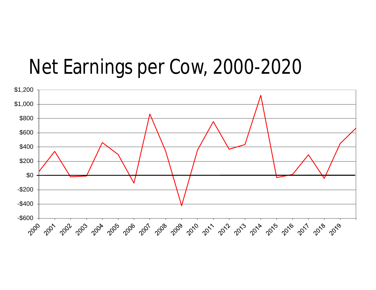### Net Earnings per Cow, 2000-2020

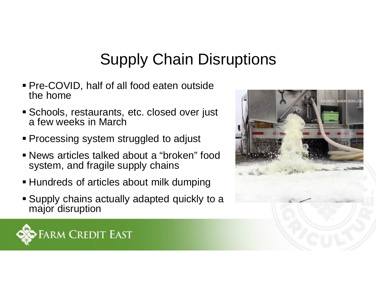### Supply Chain Disruptions

- § Pre-COVID, half of all food eaten outside the home
- Schools, restaurants, etc. closed over just a few weeks in March
- Processing system struggled to adjust
- § News articles talked about a "broken" food system, and fragile supply chains
- Hundreds of articles about milk dumping
- § Supply chains actually adapted quickly to a major disruption



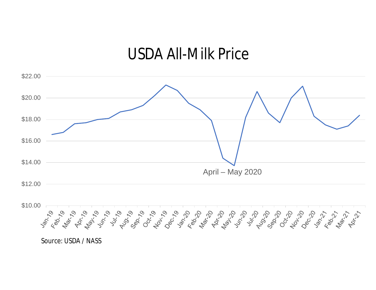### USDA All-Milk Price



Source: USDA / NASS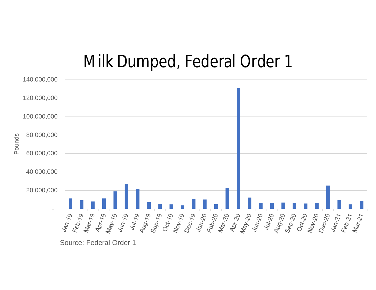### Milk Dumped, Federal Order 1



Source: Federal Order 1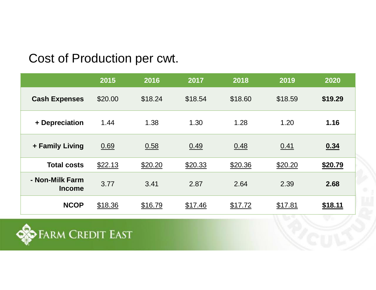#### Cost of Production per cwt.

|                                  | 2015    | 2016    | 2017    | 2018    | 2019    | 2020    |
|----------------------------------|---------|---------|---------|---------|---------|---------|
| <b>Cash Expenses</b>             | \$20.00 | \$18.24 | \$18.54 | \$18.60 | \$18.59 | \$19.29 |
| + Depreciation                   | 1.44    | 1.38    | 1.30    | 1.28    | 1.20    | 1.16    |
| + Family Living                  | 0.69    | 0.58    | 0.49    | 0.48    | 0.41    | 0.34    |
| <b>Total costs</b>               | \$22.13 | \$20.20 | \$20.33 | \$20.36 | \$20.20 | \$20.79 |
| - Non-Milk Farm<br><b>Income</b> | 3.77    | 3.41    | 2.87    | 2.64    | 2.39    | 2.68    |
| <b>NCOP</b>                      | \$18.36 | \$16.79 | \$17.46 | \$17.72 | \$17.81 | \$18.11 |

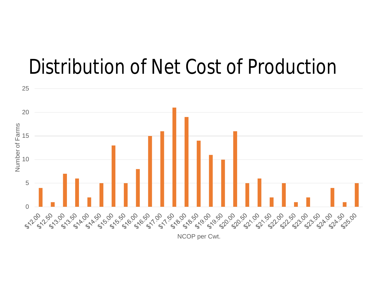

## Distribution of Net Cost of Production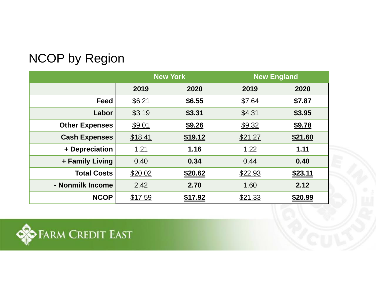#### NCOP by Region

|                       | <b>New York</b> |         | <b>New England</b> |         |  |
|-----------------------|-----------------|---------|--------------------|---------|--|
|                       | 2019            | 2020    | 2019               | 2020    |  |
| <b>Feed</b>           | \$6.21          | \$6.55  | \$7.64             | \$7.87  |  |
| Labor                 | \$3.19          | \$3.31  | \$4.31             | \$3.95  |  |
| <b>Other Expenses</b> | \$9.01          | \$9.26  | \$9.32             | \$9.78  |  |
| <b>Cash Expenses</b>  | \$18.41         | \$19.12 | \$21.27            | \$21.60 |  |
| + Depreciation        | 1.21            | 1.16    | 1.22               | 1.11    |  |
| + Family Living       | 0.40            | 0.34    | 0.44               | 0.40    |  |
| <b>Total Costs</b>    | \$20.02         | \$20.62 | \$22.93            | \$23.11 |  |
| - Nonmilk Income      | 2.42            | 2.70    | 1.60               | 2.12    |  |
| <b>NCOP</b>           | \$17.59         | \$17.92 | \$21.33            | \$20.99 |  |

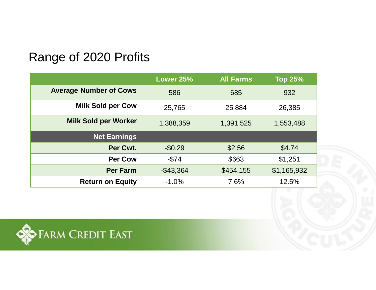#### Range of 2020 Profits

|                               | Lower 25%    | <b>All Farms</b> | <b>Top 25%</b> |
|-------------------------------|--------------|------------------|----------------|
| <b>Average Number of Cows</b> | 586          | 685              | 932            |
| <b>Milk Sold per Cow</b>      | 25,765       | 25,884           | 26,385         |
| <b>Milk Sold per Worker</b>   | 1,388,359    | 1,391,525        | 1,553,488      |
| <b>Net Earnings</b>           |              |                  |                |
| Per Cwt.                      | $-$0.29$     | \$2.56           | \$4.74         |
| <b>Per Cow</b>                | $-$ \$74     | \$663            | \$1,251        |
| <b>Per Farm</b>               | $-$ \$43,364 | \$454,155        | \$1,165,932    |
| <b>Return on Equity</b>       | $-1.0%$      | 7.6%             | 12.5%          |

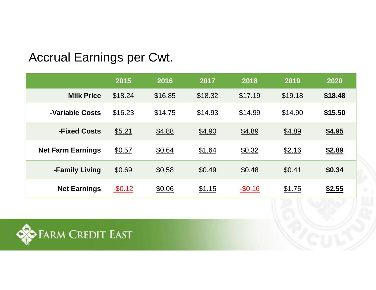#### Accrual Earnings per Cwt.

|                          | 2015       | 2016    | 2017    | 2018     | 2019    | 2020          |
|--------------------------|------------|---------|---------|----------|---------|---------------|
| <b>Milk Price</b>        | \$18.24    | \$16.85 | \$18.32 | \$17.19  | \$19.18 | \$18.48       |
| -Variable Costs          | \$16.23    | \$14.75 | \$14.93 | \$14.99  | \$14.90 | \$15.50       |
| -Fixed Costs             | \$5.21     | \$4.88  | \$4.90  | \$4.89   | \$4.89  | \$4.95        |
| <b>Net Farm Earnings</b> | \$0.57     | \$0.64  | \$1.64  | \$0.32   | \$2.16  | \$2.89        |
| -Family Living           | \$0.69     | \$0.58  | \$0.49  | \$0.48   | \$0.41  | \$0.34        |
| <b>Net Earnings</b>      | $-$ \$0.12 | \$0.06  | \$1.15  | $-$0.16$ | \$1.75  | <u>\$2.55</u> |

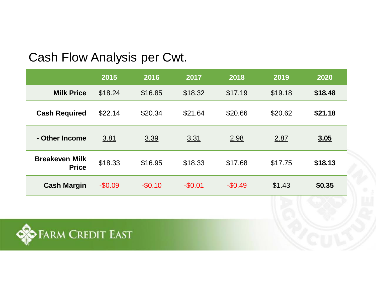#### Cash Flow Analysis per Cwt.

|                                       | 2015     | 2016     | 2017     | 2018     | 2019    | 2020        |
|---------------------------------------|----------|----------|----------|----------|---------|-------------|
| <b>Milk Price</b>                     | \$18.24  | \$16.85  | \$18.32  | \$17.19  | \$19.18 | \$18.48     |
| <b>Cash Required</b>                  | \$22.14  | \$20.34  | \$21.64  | \$20.66  | \$20.62 | \$21.18     |
| - Other Income                        | 3.81     | 3.39     | 3.31     | 2.98     | 2.87    | <u>3.05</u> |
| <b>Breakeven Milk</b><br><b>Price</b> | \$18.33  | \$16.95  | \$18.33  | \$17.68  | \$17.75 | \$18.13     |
| <b>Cash Margin</b>                    | $-$0.09$ | $-$0.10$ | $-$0.01$ | $-$0.49$ | \$1.43  | \$0.35      |

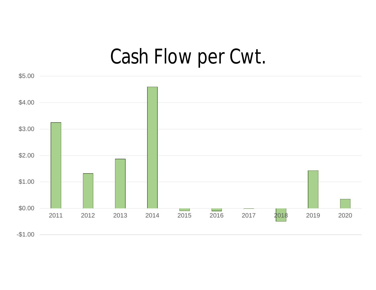# Cash Flow per Cwt.

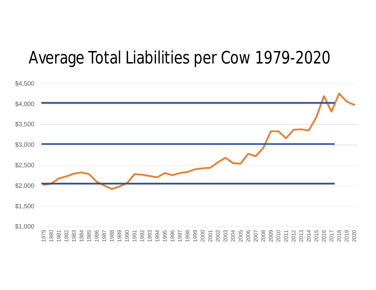### Average Total Liabilities per Cow 1979-2020

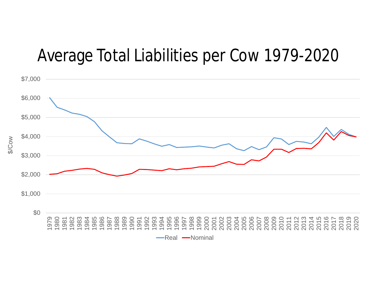### Average Total Liabilities per Cow 1979-2020



\$/Cow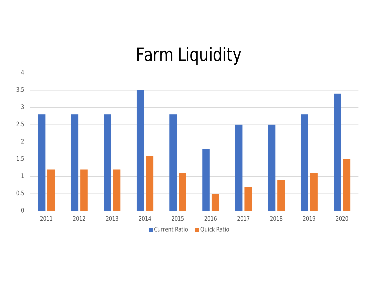# Farm Liquidity

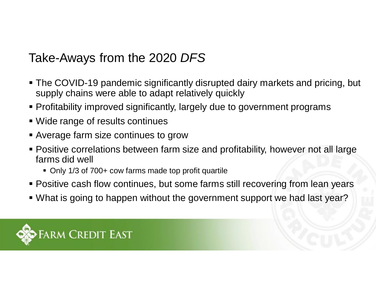#### Take-Aways from the 2020 *DFS*

- § The COVID-19 pandemic significantly disrupted dairy markets and pricing, but supply chains were able to adapt relatively quickly
- § Profitability improved significantly, largely due to government programs
- Wide range of results continues
- Average farm size continues to grow
- § Positive correlations between farm size and profitability, however not all large farms did well
	- Only 1/3 of 700+ cow farms made top profit quartile
- Positive cash flow continues, but some farms still recovering from lean years
- § What is going to happen without the government support we had last year?

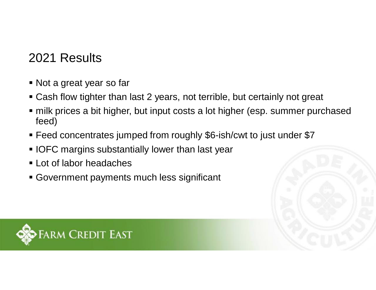#### 2021 Results

- Not a great year so far
- Cash flow tighter than last 2 years, not terrible, but certainly not great
- milk prices a bit higher, but input costs a lot higher (esp. summer purchased feed)
- § Feed concentrates jumped from roughly \$6-ish/cwt to just under \$7
- **IOFC margins substantially lower than last year**
- **Example 1** Lot of labor headaches
- Government payments much less significant

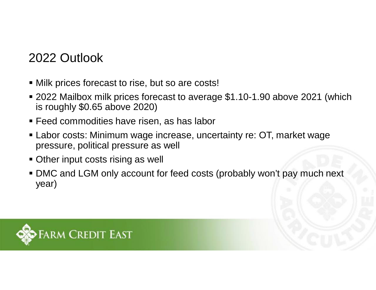### 2022 Outlook

- Milk prices forecast to rise, but so are costs!
- 2022 Mailbox milk prices forecast to average \$1.10-1.90 above 2021 (which is roughly \$0.65 above 2020)
- Feed commodities have risen, as has labor
- Labor costs: Minimum wage increase, uncertainty re: OT, market wage pressure, political pressure as well
- Other input costs rising as well
- DMC and LGM only account for feed costs (probably won't pay much next year)